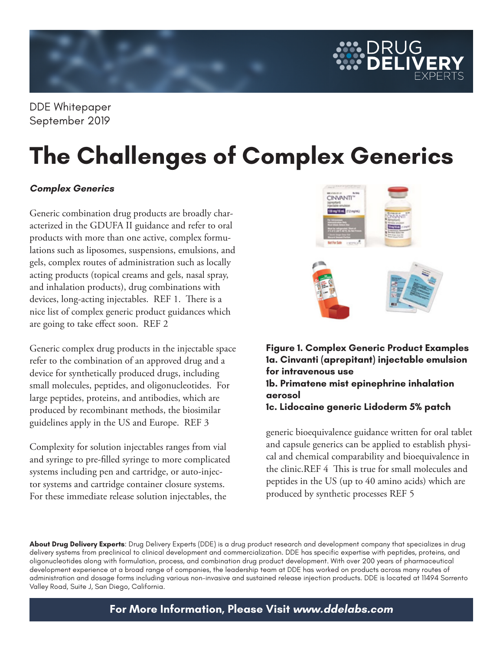

DDE Whitepaper September 2019

# **The Challenges of Complex Generics**

### **Complex Generics**

Generic combination drug products are broadly characterized in the GDUFA II guidance and refer to oral products with more than one active, complex formulations such as liposomes, suspensions, emulsions, and gels, complex routes of administration such as locally acting products (topical creams and gels, nasal spray, and inhalation products), drug combinations with devices, long-acting injectables. REF 1. There is a nice list of complex generic product guidances which are going to take effect soon. REF 2

Generic complex drug products in the injectable space refer to the combination of an approved drug and a device for synthetically produced drugs, including small molecules, peptides, and oligonucleotides. For large peptides, proteins, and antibodies, which are produced by recombinant methods, the biosimilar guidelines apply in the US and Europe. REF 3

Complexity for solution injectables ranges from vial and syringe to pre-filled syringe to more complicated systems including pen and cartridge, or auto-injector systems and cartridge container closure systems. For these immediate release solution injectables, the



**Figure 1. Complex Generic Product Examples 1a. Cinvanti (aprepitant) injectable emulsion for intravenous use 1b. Primatene mist epinephrine inhalation aerosol 1c. Lidocaine generic Lidoderm 5% patch**

generic bioequivalence guidance written for oral tablet and capsule generics can be applied to establish physical and chemical comparability and bioequivalence in the clinic.REF 4 This is true for small molecules and peptides in the US (up to 40 amino acids) which are produced by synthetic processes REF 5

**About Drug Delivery Experts**: Drug Delivery Experts (DDE) is a drug product research and development company that specializes in drug delivery systems from preclinical to clinical development and commercialization. DDE has specific expertise with peptides, proteins, and oligonucleotides along with formulation, process, and combination drug product development. With over 200 years of pharmaceutical development experience at a broad range of companies, the leadership team at DDE has worked on products across many routes of administration and dosage forms including various non-invasive and sustained release injection products. DDE is located at 11494 Sorrento Valley Road, Suite J, San Diego, California.

**For More Information, Please Visit www.ddelabs.com**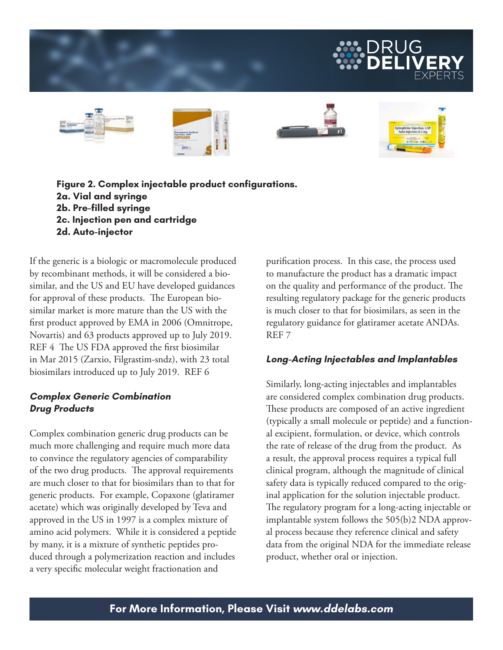



**Figure 2. Complex injectable product configurations. 2a. Vial and syringe 2b. Pre-filled syringe 2c. Injection pen and cartridge 2d. Auto-injector** 

If the generic is a biologic or macromolecule produced by recombinant methods, it will be considered a biosimilar, and the US and EU have developed guidances for approval of these products. The European biosimilar market is more mature than the US with the first product approved by EMA in 2006 (Omnitrope, Novartis) and 63 products approved up to July 2019. REF 4 The US FDA approved the first biosimilar in Mar 2015 (Zarxio, Filgrastim-sndz), with 23 total biosimilars introduced up to July 2019. REF 6

## **Complex Generic Combination Drug Products**

Complex combination generic drug products can be much more challenging and require much more data to convince the regulatory agencies of comparability of the two drug products. The approval requirements are much closer to that for biosimilars than to that for generic products. For example, Copaxone (glatiramer acetate) which was originally developed by Teva and approved in the US in 1997 is a complex mixture of amino acid polymers. While it is considered a peptide by many, it is a mixture of synthetic peptides produced through a polymerization reaction and includes a very specific molecular weight fractionation and

purification process. In this case, the process used to manufacture the product has a dramatic impact on the quality and performance of the product. The resulting regulatory package for the generic products is much closer to that for biosimilars, as seen in the regulatory guidance for glatiramer acetate ANDAs. REF 7

# **Long-Acting Injectables and Implantables**

Similarly, long-acting injectables and implantables are considered complex combination drug products. These products are composed of an active ingredient (typically a small molecule or peptide) and a functional excipient, formulation, or device, which controls the rate of release of the drug from the product. As a result, the approval process requires a typical full clinical program, although the magnitude of clinical safety data is typically reduced compared to the original application for the solution injectable product. The regulatory program for a long-acting injectable or implantable system follows the 505(b)2 NDA approval process because they reference clinical and safety data from the original NDA for the immediate release product, whether oral or injection.